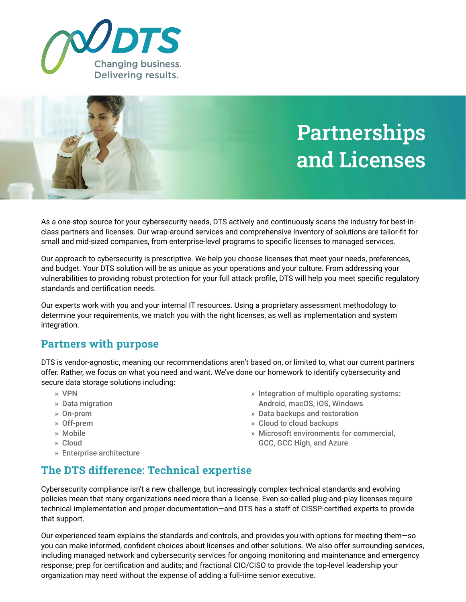



As a one-stop source for your cybersecurity needs, DTS actively and continuously scans the industry for best-inclass partners and licenses. Our wrap-around services and comprehensive inventory of solutions are tailor-fit for small and mid-sized companies, from enterprise-level programs to specific licenses to managed services.

Our approach to cybersecurity is prescriptive. We help you choose licenses that meet your needs, preferences, and budget. Your DTS solution will be as unique as your operations and your culture. From addressing your vulnerabilities to providing robust protection for your full attack profile, DTS will help you meet specific regulatory standards and certification needs.

Our experts work with you and your internal IT resources. Using a proprietary assessment methodology to determine your requirements, we match you with the right licenses, as well as implementation and system integration.

### **Partners with purpose**

DTS is vendor-agnostic, meaning our recommendations aren't based on, or limited to, what our current partners offer. Rather, we focus on what you need and want. We've done our homework to identify cybersecurity and secure data storage solutions including:

- » VPN
- » Data migration
- » On-prem
- » Off-prem
- » Mobile
- » Cloud
- » Enterprise architecture
- » Integration of multiple operating systems: Android, macOS, iOS, Windows
- » Data backups and restoration
- » Cloud to cloud backups
- » Microsoft environments for commercial, GCC, GCC High, and Azure

## **The DTS difference: Technical expertise**

Cybersecurity compliance isn't a new challenge, but increasingly complex technical standards and evolving policies mean that many organizations need more than a license. Even so-called plug-and-play licenses require technical implementation and proper documentation—and DTS has a staff of CISSP-certified experts to provide that support.

Our experienced team explains the standards and controls, and provides you with options for meeting them—so you can make informed, confident choices about licenses and other solutions. We also offer surrounding services, including managed network and cybersecurity services for ongoing monitoring and maintenance and emergency response; prep for certification and audits; and fractional CIO/CISO to provide the top-level leadership your organization may need without the expense of adding a full-time senior executive.